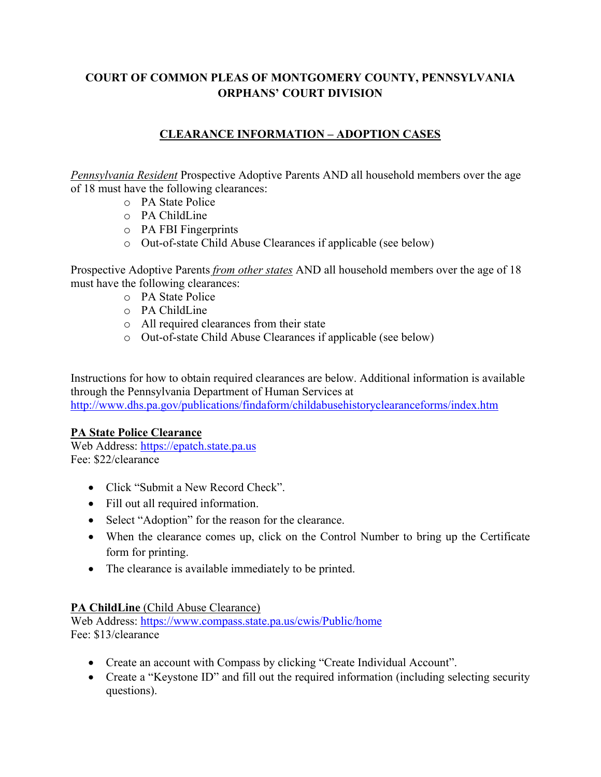# **COURT OF COMMON PLEAS OF MONTGOMERY COUNTY, PENNSYLVANIA ORPHANS' COURT DIVISION**

# **CLEARANCE INFORMATION – ADOPTION CASES**

*Pennsylvania Resident* Prospective Adoptive Parents AND all household members over the age of 18 must have the following clearances:

- o PA State Police
- $\circ$  PA ChildLine
- o PA FBI Fingerprints
- o Out-of-state Child Abuse Clearances if applicable (see below)

Prospective Adoptive Parents *from other states* AND all household members over the age of 18 must have the following clearances:

- o PA State Police
- o PA ChildLine
- o All required clearances from their state
- o Out-of-state Child Abuse Clearances if applicable (see below)

Instructions for how to obtain required clearances are below. Additional information is available through the Pennsylvania Department of Human Services at http://www.dhs.pa.gov/publications/findaform/childabusehistoryclearanceforms/index.htm

## **PA State Police Clearance**

Web Address: https://epatch.state.pa.us Fee: \$22/clearance

- Click "Submit a New Record Check".
- Fill out all required information.
- Select "Adoption" for the reason for the clearance.
- When the clearance comes up, click on the Control Number to bring up the Certificate form for printing.
- The clearance is available immediately to be printed.

## **PA ChildLine** (Child Abuse Clearance)

Web Address: https://www.compass.state.pa.us/cwis/Public/home Fee: \$13/clearance

- Create an account with Compass by clicking "Create Individual Account".
- Create a "Keystone ID" and fill out the required information (including selecting security questions).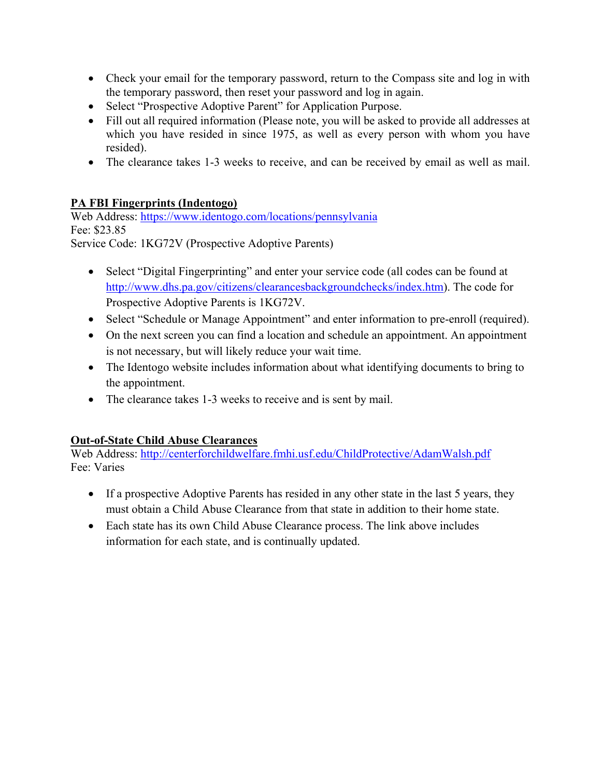- Check your email for the temporary password, return to the Compass site and log in with the temporary password, then reset your password and log in again.
- Select "Prospective Adoptive Parent" for Application Purpose.
- Fill out all required information (Please note, you will be asked to provide all addresses at which you have resided in since 1975, as well as every person with whom you have resided).
- The clearance takes 1-3 weeks to receive, and can be received by email as well as mail.

# **PA FBI Fingerprints (Indentogo)**

Web Address: https://www.identogo.com/locations/pennsylvania Fee: \$23.85 Service Code: 1KG72V (Prospective Adoptive Parents)

- Select "Digital Fingerprinting" and enter your service code (all codes can be found at http://www.dhs.pa.gov/citizens/clearancesbackgroundchecks/index.htm). The code for Prospective Adoptive Parents is 1KG72V.
- Select "Schedule or Manage Appointment" and enter information to pre-enroll (required).
- On the next screen you can find a location and schedule an appointment. An appointment is not necessary, but will likely reduce your wait time.
- The Identogo website includes information about what identifying documents to bring to the appointment.
- The clearance takes 1-3 weeks to receive and is sent by mail.

## **Out-of-State Child Abuse Clearances**

Web Address: http://centerforchildwelfare.fmhi.usf.edu/ChildProtective/AdamWalsh.pdf Fee: Varies

- If a prospective Adoptive Parents has resided in any other state in the last 5 years, they must obtain a Child Abuse Clearance from that state in addition to their home state.
- Each state has its own Child Abuse Clearance process. The link above includes information for each state, and is continually updated.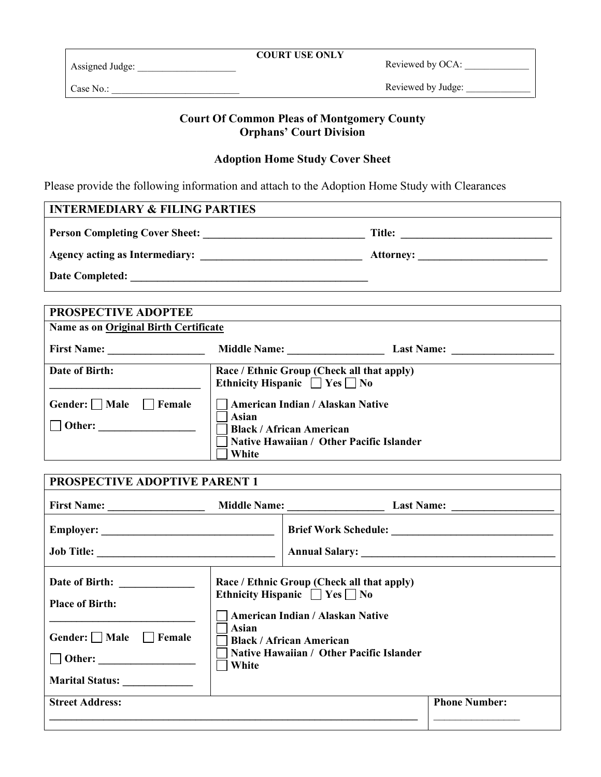| <b>COURT USE ONLY</b> |  |  |
|-----------------------|--|--|
|                       |  |  |

Reviewed by OCA: \_\_\_\_\_\_\_\_\_\_\_\_\_

Assigned Judge:

Reviewed by Judge:

# **Court Of Common Pleas of Montgomery County Orphans' Court Division**

#### **Adoption Home Study Cover Sheet**

Please provide the following information and attach to the Adoption Home Study with Clearances

#### **INTERMEDIARY & FILING PARTIES**

Case No.: \_\_\_\_\_\_\_\_\_\_\_\_\_\_\_\_\_\_\_\_\_\_\_\_\_\_

**Person Completing Cover Sheet: \_\_\_\_\_\_\_\_\_\_\_\_\_\_\_\_\_\_\_\_\_\_\_\_\_\_\_\_\_\_ Title: \_\_\_\_\_\_\_\_\_\_\_\_\_\_\_\_\_\_\_\_\_\_\_\_\_\_\_\_** 

**Agency acting as Intermediary: \_\_\_\_\_\_\_\_\_\_\_\_\_\_\_\_\_\_\_\_\_\_\_\_\_\_\_\_\_\_ Attorney: \_\_\_\_\_\_\_\_\_\_\_\_\_\_\_\_\_\_\_\_\_\_\_\_** 

**Date Completed: \_\_\_\_\_\_\_\_\_\_\_\_\_\_\_\_\_\_\_\_\_\_\_\_\_\_\_\_\_\_\_\_\_\_\_\_\_\_\_\_\_\_\_\_** 

| PROSPECTIVE ADOPTEE                   |                                                                                       |                   |  |  |
|---------------------------------------|---------------------------------------------------------------------------------------|-------------------|--|--|
| Name as on Original Birth Certificate |                                                                                       |                   |  |  |
| <b>First Name:</b>                    | <b>Middle Name:</b>                                                                   | <b>Last Name:</b> |  |  |
| Date of Birth:                        | Race / Ethnic Group (Check all that apply)<br>Ethnicity Hispanic $\Box$ Yes $\Box$ No |                   |  |  |
| Gender: $\Box$ Male<br><b>Female</b>  | American Indian / Alaskan Native<br>Asian                                             |                   |  |  |
| Other:                                | <b>Black / African American</b><br>Native Hawaiian / Other Pacific Islander           |                   |  |  |
|                                       | White                                                                                 |                   |  |  |

| <b>PROSPECTIVE ADOPTIVE PARENT 1</b>                                                             |                                                                                                                                                                                                                            |  |                      |
|--------------------------------------------------------------------------------------------------|----------------------------------------------------------------------------------------------------------------------------------------------------------------------------------------------------------------------------|--|----------------------|
|                                                                                                  |                                                                                                                                                                                                                            |  |                      |
| Job Title:                                                                                       |                                                                                                                                                                                                                            |  |                      |
| Date of Birth: _____________<br><b>Place of Birth:</b><br>Gender: Male Female<br>Marital Status: | Race / Ethnic Group (Check all that apply)<br>Ethnicity Hispanic $\Box$ Yes $\Box$ No<br>American Indian / Alaskan Native<br>Asian<br><b>Black / African American</b><br>Native Hawaiian / Other Pacific Islander<br>White |  |                      |
| <b>Street Address:</b>                                                                           |                                                                                                                                                                                                                            |  | <b>Phone Number:</b> |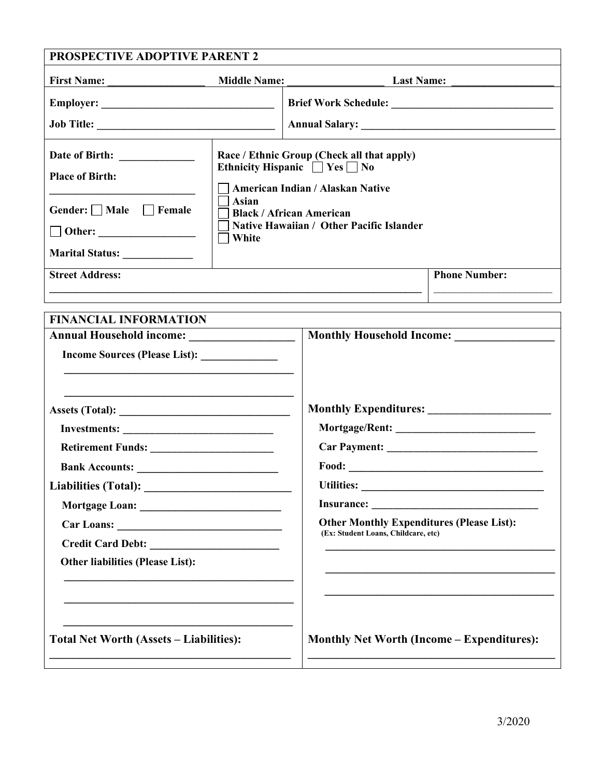| <b>First Name:</b><br><u> 1989 - Johann Barn, mars ann an t-</u>                | <b>Middle Name:</b>                                                                                                                                                                                                               | <b>Last Name:</b>                                                                                                                         |                      |
|---------------------------------------------------------------------------------|-----------------------------------------------------------------------------------------------------------------------------------------------------------------------------------------------------------------------------------|-------------------------------------------------------------------------------------------------------------------------------------------|----------------------|
|                                                                                 |                                                                                                                                                                                                                                   |                                                                                                                                           |                      |
|                                                                                 |                                                                                                                                                                                                                                   |                                                                                                                                           |                      |
| <b>Place of Birth:</b><br>Gender: Male Female<br>Marital Status: ______________ | Race / Ethnic Group (Check all that apply)<br>Ethnicity Hispanic $\Box$ Yes $\Box$ No<br>American Indian / Alaskan Native<br>Asian<br><b>Black / African American</b><br>Native Hawaiian / Other Pacific Islander<br>$\Box$ White |                                                                                                                                           |                      |
| <b>Street Address:</b>                                                          |                                                                                                                                                                                                                                   |                                                                                                                                           | <b>Phone Number:</b> |
|                                                                                 |                                                                                                                                                                                                                                   |                                                                                                                                           |                      |
|                                                                                 |                                                                                                                                                                                                                                   |                                                                                                                                           |                      |
|                                                                                 |                                                                                                                                                                                                                                   |                                                                                                                                           |                      |
|                                                                                 |                                                                                                                                                                                                                                   |                                                                                                                                           |                      |
| Investments:                                                                    |                                                                                                                                                                                                                                   |                                                                                                                                           |                      |
|                                                                                 |                                                                                                                                                                                                                                   |                                                                                                                                           |                      |
|                                                                                 |                                                                                                                                                                                                                                   |                                                                                                                                           |                      |
|                                                                                 |                                                                                                                                                                                                                                   | <b>Utilities:</b><br><u> 1980 - Jan Samuel Barbara, margaret e populazion del control del control del control del control de la provi</u> |                      |
|                                                                                 |                                                                                                                                                                                                                                   | <b>Other Monthly Expenditures (Please List):</b><br>(Ex: Student Loans, Childcare, etc)                                                   |                      |
| Credit Card Debt:<br><b>Other liabilities (Please List):</b>                    |                                                                                                                                                                                                                                   |                                                                                                                                           |                      |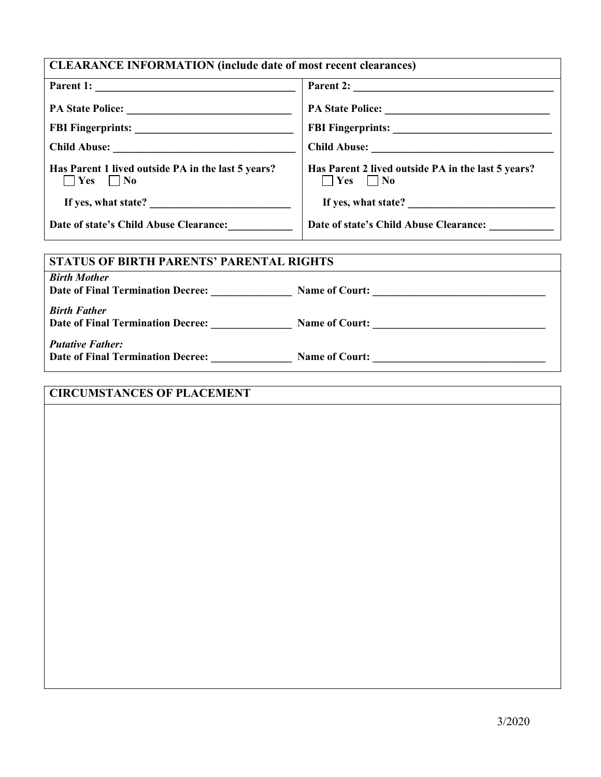| <b>CLEARANCE INFORMATION (include date of most recent clearances)</b>      |                                                                                            |  |  |
|----------------------------------------------------------------------------|--------------------------------------------------------------------------------------------|--|--|
|                                                                            |                                                                                            |  |  |
|                                                                            |                                                                                            |  |  |
|                                                                            |                                                                                            |  |  |
|                                                                            |                                                                                            |  |  |
| Has Parent 1 lived outside PA in the last 5 years?<br>$\Box$ Yes $\Box$ No | Has Parent 2 lived outside PA in the last 5 years?<br>$\blacksquare$ Yes $\blacksquare$ No |  |  |
| If yes, what state?                                                        |                                                                                            |  |  |
| Date of state's Child Abuse Clearance: __________                          | Date of state's Child Abuse Clearance: __________                                          |  |  |
|                                                                            |                                                                                            |  |  |
| <b>STATUS OF BIRTH PARENTS' PARENTAL RIGHTS</b>                            |                                                                                            |  |  |
| <b>Birth Mother</b><br>Date of Final Termination Decree: Name of Court:    |                                                                                            |  |  |
| <b>Birth Father</b>                                                        |                                                                                            |  |  |
|                                                                            |                                                                                            |  |  |
| <b>Putative Father:</b>                                                    |                                                                                            |  |  |
|                                                                            |                                                                                            |  |  |
|                                                                            |                                                                                            |  |  |

# **CIRCUMSTANCES OF PLACEMENT**